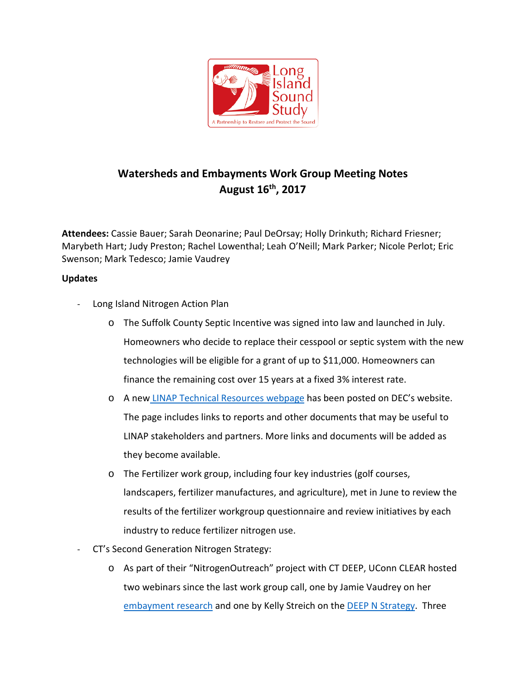

## **Watersheds and Embayments Work Group Meeting Notes August 16th, 2017**

**Attendees:** Cassie Bauer; Sarah Deonarine; Paul DeOrsay; Holly Drinkuth; Richard Friesner; Marybeth Hart; Judy Preston; Rachel Lowenthal; Leah O'Neill; Mark Parker; Nicole Perlot; Eric Swenson; Mark Tedesco; Jamie Vaudrey

## **Updates**

- Long Island Nitrogen Action Plan
	- o The Suffolk County Septic Incentive was signed into law and launched in July. Homeowners who decide to replace their cesspool or septic system with the new technologies will be eligible for a grant of up to \$11,000. Homeowners can finance the remaining cost over 15 years at a fixed 3% interest rate.
	- o A new [LINAP Technical Resources webpage](http://www.dec.ny.gov/lands/109847.html) has been posted on DEC's website. The page includes links to reports and other documents that may be useful to LINAP stakeholders and partners. More links and documents will be added as they become available.
	- o The Fertilizer work group, including four key industries (golf courses, landscapers, fertilizer manufactures, and agriculture), met in June to review the results of the fertilizer workgroup questionnaire and review initiatives by each industry to reduce fertilizer nitrogen use.
- CT's Second Generation Nitrogen Strategy:
	- o As part of their "NitrogenOutreach" project with CT DEEP, UConn CLEAR hosted two webinars since the last work group call, one by Jamie Vaudrey on her [embayment research](http://clear.uconn.edu/webinars/CLEARseries17/nitrogen-pollution.htm) and one by Kelly Streich on the [DEEP N Strategy.](http://clear.uconn.edu/webinars/CLEARseries17/nitrogen-pollution2.htm) Three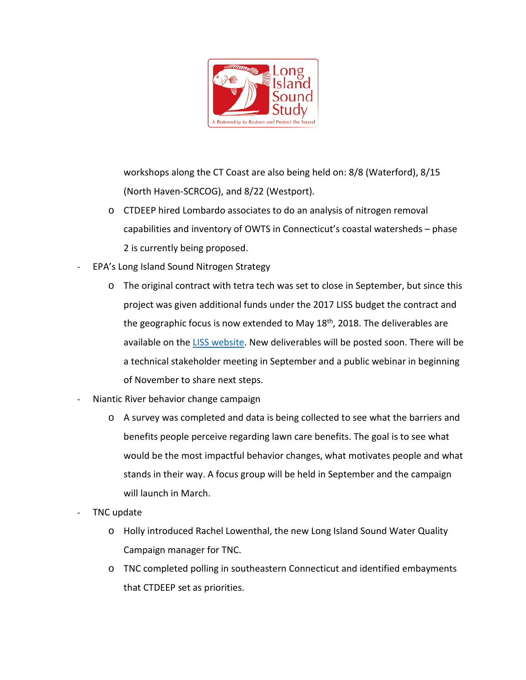

workshops along the CT Coast are also being held on: 8/8 (Waterford), 8/15 (North Haven-SCRCOG), and 8/22 (Westport).

- o CTDEEP hired Lombardo associates to do an analysis of nitrogen removal capabilities and inventory of OWTS in Connecticut's coastal watersheds – phase 2 is currently being proposed.
- EPA's Long Island Sound Nitrogen Strategy
	- o The original contract with tetra tech was set to close in September, but since this project was given additional funds under the 2017 LISS budget the contract and the geographic focus is now extended to May 18<sup>th</sup>, 2018. The deliverables are available on the [LISS website.](http://longislandsoundstudy.net/issues-actions/water-quality/nitrogen-strategy/) New deliverables will be posted soon. There will be a technical stakeholder meeting in September and a public webinar in beginning of November to share next steps.
- Niantic River behavior change campaign
	- o A survey was completed and data is being collected to see what the barriers and benefits people perceive regarding lawn care benefits. The goal is to see what would be the most impactful behavior changes, what motivates people and what stands in their way. A focus group will be held in September and the campaign will launch in March.
- TNC update
	- o Holly introduced Rachel Lowenthal, the new Long Island Sound Water Quality Campaign manager for TNC.
	- o TNC completed polling in southeastern Connecticut and identified embayments that CTDEEP set as priorities.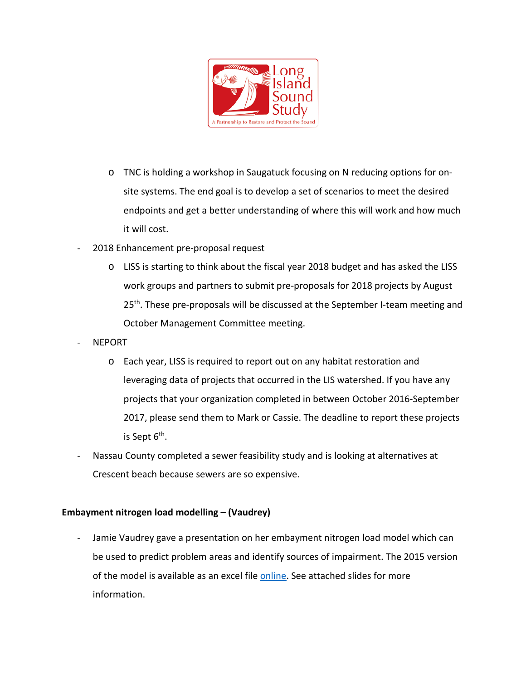

- o TNC is holding a workshop in Saugatuck focusing on N reducing options for onsite systems. The end goal is to develop a set of scenarios to meet the desired endpoints and get a better understanding of where this will work and how much it will cost.
- 2018 Enhancement pre-proposal request
	- o LISS is starting to think about the fiscal year 2018 budget and has asked the LISS work groups and partners to submit pre-proposals for 2018 projects by August 25<sup>th</sup>. These pre-proposals will be discussed at the September I-team meeting and October Management Committee meeting.
- NEPORT
	- o Each year, LISS is required to report out on any habitat restoration and leveraging data of projects that occurred in the LIS watershed. If you have any projects that your organization completed in between October 2016-September 2017, please send them to Mark or Cassie. The deadline to report these projects is Sept  $6<sup>th</sup>$ .
- Nassau County completed a sewer feasibility study and is looking at alternatives at Crescent beach because sewers are so expensive.

## **Embayment nitrogen load modelling – (Vaudrey)**

Jamie Vaudrey gave a presentation on her embayment nitrogen load model which can be used to predict problem areas and identify sources of impairment. The 2015 version of the model is available as an excel file [online.](http://vaudrey.lab.uconn.edu/embayment-n-load/) See attached slides for more information.